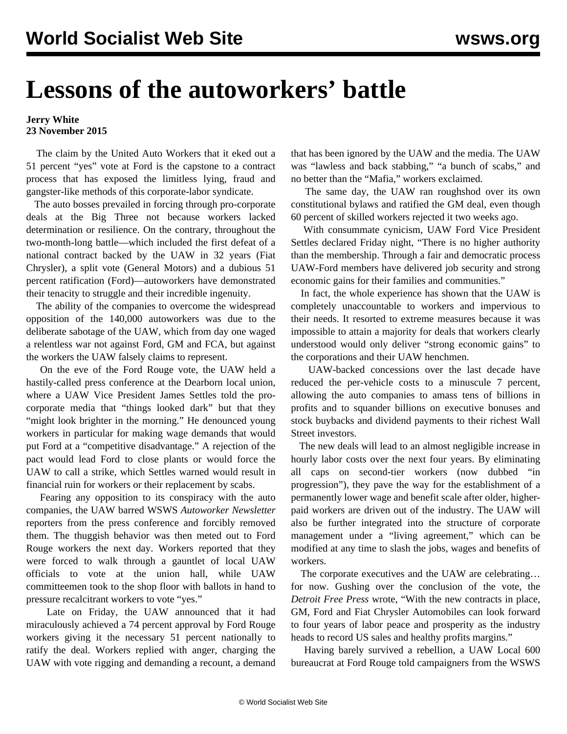## **Lessons of the autoworkers' battle**

## **Jerry White 23 November 2015**

 The claim by the United Auto Workers that it eked out a 51 percent "yes" vote at Ford is the capstone to a contract process that has exposed the limitless lying, fraud and gangster-like methods of this corporate-labor syndicate.

 The auto bosses prevailed in forcing through pro-corporate deals at the Big Three not because workers lacked determination or resilience. On the contrary, throughout the two-month-long battle—which included the first defeat of a national contract backed by the UAW in 32 years (Fiat Chrysler), a split vote (General Motors) and a dubious 51 percent ratification (Ford)—autoworkers have demonstrated their tenacity to struggle and their incredible ingenuity.

 The ability of the companies to overcome the widespread opposition of the 140,000 autoworkers was due to the deliberate sabotage of the UAW, which from day one waged a relentless war not against Ford, GM and FCA, but against the workers the UAW falsely claims to represent.

 On the eve of the Ford Rouge vote, the UAW held a hastily-called press conference at the Dearborn local union, where a UAW Vice President James Settles told the procorporate media that "things looked dark" but that they "might look brighter in the morning." He denounced young workers in particular for making wage demands that would put Ford at a "competitive disadvantage." A rejection of the pact would lead Ford to close plants or would force the UAW to call a strike, which Settles warned would result in financial ruin for workers or their replacement by scabs.

 Fearing any opposition to its conspiracy with the auto companies, the UAW barred WSWS *Autoworker Newsletter* reporters from the press conference and forcibly removed them. The thuggish behavior was then meted out to Ford Rouge workers the next day. Workers reported that they were forced to walk through a gauntlet of local UAW officials to vote at the union hall, while UAW committeemen took to the shop floor with ballots in hand to pressure recalcitrant workers to vote "yes."

 Late on Friday, the UAW announced that it had miraculously achieved a 74 percent approval by Ford Rouge workers giving it the necessary 51 percent nationally to ratify the deal. Workers replied with anger, charging the UAW with vote rigging and demanding a recount, a demand that has been ignored by the UAW and the media. The UAW was "lawless and back stabbing," "a bunch of scabs," and no better than the "Mafia," workers exclaimed.

 The same day, the UAW ran roughshod over its own constitutional bylaws and ratified the GM deal, even though 60 percent of skilled workers rejected it two weeks ago.

 With consummate cynicism, UAW Ford Vice President Settles declared Friday night, "There is no higher authority than the membership. Through a fair and democratic process UAW-Ford members have delivered job security and strong economic gains for their families and communities."

 In fact, the whole experience has shown that the UAW is completely unaccountable to workers and impervious to their needs. It resorted to extreme measures because it was impossible to attain a majority for deals that workers clearly understood would only deliver "strong economic gains" to the corporations and their UAW henchmen.

 UAW-backed concessions over the last decade have reduced the per-vehicle costs to a minuscule 7 percent, allowing the auto companies to amass tens of billions in profits and to squander billions on executive bonuses and stock buybacks and dividend payments to their richest Wall Street investors.

 The new deals will lead to an almost negligible increase in hourly labor costs over the next four years. By eliminating all caps on second-tier workers (now dubbed "in progression"), they pave the way for the establishment of a permanently lower wage and benefit scale after older, higherpaid workers are driven out of the industry. The UAW will also be further integrated into the structure of corporate management under a "living agreement," which can be modified at any time to slash the jobs, wages and benefits of workers.

 The corporate executives and the UAW are celebrating… for now. Gushing over the conclusion of the vote, the *Detroit Free Press* wrote, "With the new contracts in place, GM, Ford and Fiat Chrysler Automobiles can look forward to four years of labor peace and prosperity as the industry heads to record US sales and healthy profits margins."

 Having barely survived a rebellion, a UAW Local 600 bureaucrat at Ford Rouge told campaigners from the WSWS